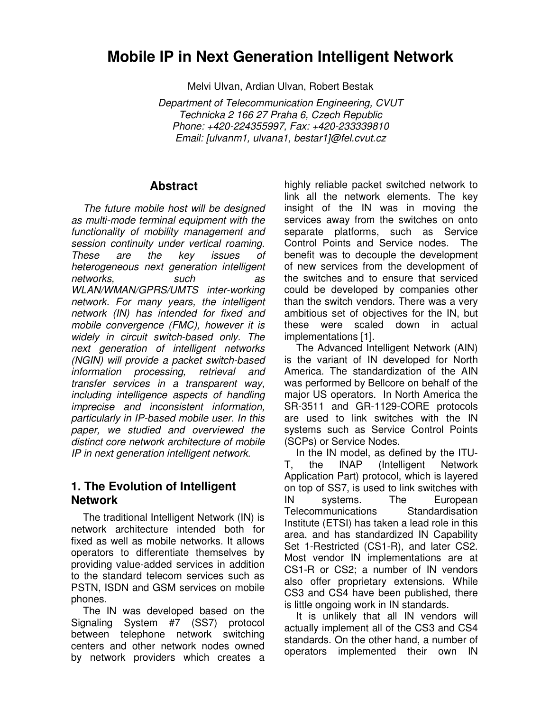# **Mobile IP in Next Generation Intelligent Network**

Melvi Ulvan, Ardian Ulvan, Robert Bestak

Department of Telecommunication Engineering, CVUT Technicka 2 166 27 Praha 6, Czech Republic Phone: +420-224355997, Fax: +420-233339810 Email: [ulvanm1, ulvana1, bestar1]@fel.cvut.cz

### **Abstract**

The future mobile host will be designed as multi-mode terminal equipment with the functionality of mobility management and session continuity under vertical roaming. These are the key issues of heterogeneous next generation intelligent networks, such as WLAN/WMAN/GPRS/UMTS inter-working network. For many years, the intelligent network (IN) has intended for fixed and mobile convergence (FMC), however it is widely in circuit switch-based only. The next generation of intelligent networks (NGIN) will provide a packet switch-based information processing, retrieval and transfer services in a transparent way, including intelligence aspects of handling imprecise and inconsistent information, particularly in IP-based mobile user. In this paper, we studied and overviewed the distinct core network architecture of mobile IP in next generation intelligent network.

# **1. The Evolution of Intelligent Network**

The traditional Intelligent Network (IN) is network architecture intended both for fixed as well as mobile networks. It allows operators to differentiate themselves by providing value-added services in addition to the standard telecom services such as PSTN, ISDN and GSM services on mobile phones.

The IN was developed based on the Signaling System #7 (SS7) protocol between telephone network switching centers and other network nodes owned by network providers which creates a

highly reliable packet switched network to link all the network elements. The key insight of the IN was in moving the services away from the switches on onto separate platforms, such as Service Control Points and Service nodes. The benefit was to decouple the development of new services from the development of the switches and to ensure that serviced could be developed by companies other than the switch vendors. There was a very ambitious set of objectives for the IN, but these were scaled down in actual implementations [1].

The Advanced Intelligent Network (AIN) is the variant of IN developed for North America. The standardization of the AIN was performed by Bellcore on behalf of the major US operators. In North America the SR-3511 and GR-1129-CORE protocols are used to link switches with the IN systems such as Service Control Points (SCPs) or Service Nodes.

In the IN model, as defined by the ITU-T, the INAP (Intelligent Network Application Part) protocol, which is layered on top of SS7, is used to link switches with IN systems. The European Telecommunications Standardisation Institute (ETSI) has taken a lead role in this area, and has standardized IN Capability Set 1-Restricted (CS1-R), and later CS2. Most vendor IN implementations are at CS1-R or CS2; a number of IN vendors also offer proprietary extensions. While CS3 and CS4 have been published, there is little ongoing work in IN standards.

It is unlikely that all IN vendors will actually implement all of the CS3 and CS4 standards. On the other hand, a number of operators implemented their own IN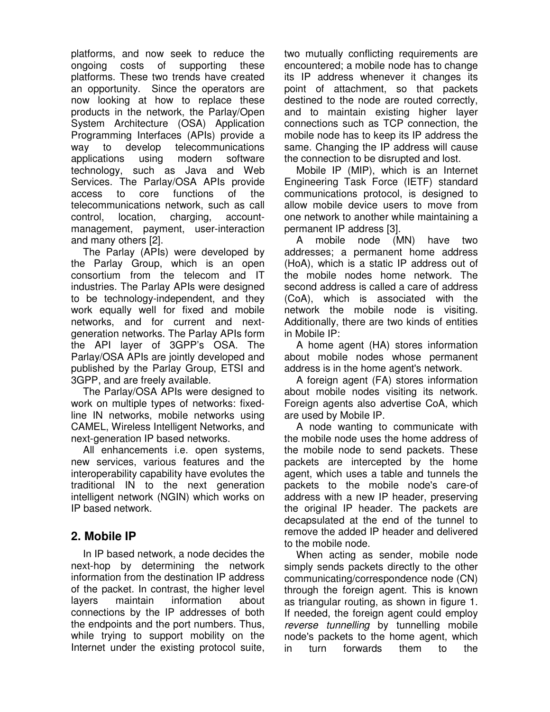platforms, and now seek to reduce the ongoing costs of supporting these platforms. These two trends have created an opportunity. Since the operators are now looking at how to replace these products in the network, the Parlay/Open System Architecture (OSA) Application Programming Interfaces (APIs) provide a way to develop telecommunications applications using modern software technology, such as Java and Web Services. The Parlay/OSA APIs provide access to core functions of the telecommunications network, such as call control, location, charging, accountmanagement, payment, user-interaction and many others [2].

The Parlay (APIs) were developed by the Parlay Group, which is an open consortium from the telecom and IT industries. The Parlay APIs were designed to be technology-independent, and they work equally well for fixed and mobile networks, and for current and nextgeneration networks. The Parlay APIs form the API layer of 3GPP's OSA. The Parlay/OSA APIs are jointly developed and published by the Parlay Group, ETSI and 3GPP, and are freely available.

The Parlay/OSA APIs were designed to work on multiple types of networks: fixedline IN networks, mobile networks using CAMEL, Wireless Intelligent Networks, and next-generation IP based networks.

All enhancements i.e. open systems, new services, various features and the interoperability capability have evolutes the traditional IN to the next generation intelligent network (NGIN) which works on IP based network.

# **2. Mobile IP**

In IP based network, a node decides the next-hop by determining the network information from the destination IP address of the packet. In contrast, the higher level layers maintain information about connections by the IP addresses of both the endpoints and the port numbers. Thus, while trying to support mobility on the Internet under the existing protocol suite,

two mutually conflicting requirements are encountered; a mobile node has to change its IP address whenever it changes its point of attachment, so that packets destined to the node are routed correctly, and to maintain existing higher layer connections such as TCP connection, the mobile node has to keep its IP address the same. Changing the IP address will cause the connection to be disrupted and lost.

Mobile IP (MIP), which is an Internet Engineering Task Force (IETF) standard communications protocol, is designed to allow mobile device users to move from one network to another while maintaining a permanent IP address [3].

A mobile node (MN) have two addresses; a permanent home address (HoA), which is a static IP address out of the mobile nodes home network. The second address is called a care of address (CoA), which is associated with the network the mobile node is visiting. Additionally, there are two kinds of entities in Mobile IP:

A home agent (HA) stores information about mobile nodes whose permanent address is in the home agent's network.

A foreign agent (FA) stores information about mobile nodes visiting its network. Foreign agents also advertise CoA, which are used by Mobile IP.

A node wanting to communicate with the mobile node uses the home address of the mobile node to send packets. These packets are intercepted by the home agent, which uses a table and tunnels the packets to the mobile node's care-of address with a new IP header, preserving the original IP header. The packets are decapsulated at the end of the tunnel to remove the added IP header and delivered to the mobile node.

When acting as sender, mobile node simply sends packets directly to the other communicating/correspondence node (CN) through the foreign agent. This is known as triangular routing, as shown in figure 1. If needed, the foreign agent could employ reverse tunnelling by tunnelling mobile node's packets to the home agent, which in turn forwards them to the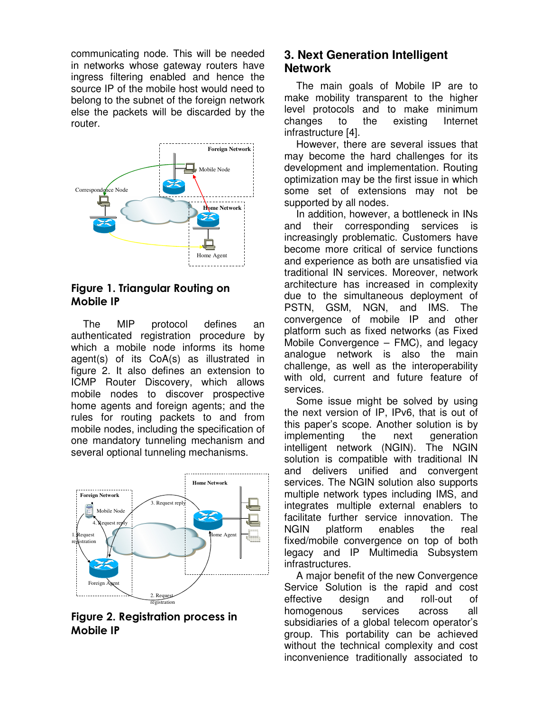communicating node. This will be needed in networks whose gateway routers have ingress filtering enabled and hence the source IP of the mobile host would need to belong to the subnet of the foreign network else the packets will be discarded by the router.



## Figure 1. Triangular Routing on Mobile IP

The MIP protocol defines an authenticated registration procedure by which a mobile node informs its home agent(s) of its CoA(s) as illustrated in figure 2. It also defines an extension to ICMP Router Discovery, which allows mobile nodes to discover prospective home agents and foreign agents; and the rules for routing packets to and from mobile nodes, including the specification of one mandatory tunneling mechanism and several optional tunneling mechanisms.



Figure 2. Registration process in Mobile IP

# **3. Next Generation Intelligent Network**

The main goals of Mobile IP are to make mobility transparent to the higher level protocols and to make minimum changes to the existing Internet infrastructure [4].

However, there are several issues that may become the hard challenges for its development and implementation. Routing optimization may be the first issue in which some set of extensions may not be supported by all nodes.

In addition, however, a bottleneck in INs and their corresponding services is increasingly problematic. Customers have become more critical of service functions and experience as both are unsatisfied via traditional IN services. Moreover, network architecture has increased in complexity due to the simultaneous deployment of PSTN, GSM, NGN, and IMS. The convergence of mobile IP and other platform such as fixed networks (as Fixed Mobile Convergence – FMC), and legacy analogue network is also the main challenge, as well as the interoperability with old, current and future feature of services.

Some issue might be solved by using the next version of IP, IPv6, that is out of this paper's scope. Another solution is by implementing the next generation intelligent network (NGIN). The NGIN solution is compatible with traditional IN and delivers unified and convergent services. The NGIN solution also supports multiple network types including IMS, and integrates multiple external enablers to facilitate further service innovation. The NGIN platform enables the real fixed/mobile convergence on top of both legacy and IP Multimedia Subsystem infrastructures.

A major benefit of the new Convergence Service Solution is the rapid and cost effective design and roll-out of homogenous services across all subsidiaries of a global telecom operator's group. This portability can be achieved without the technical complexity and cost inconvenience traditionally associated to